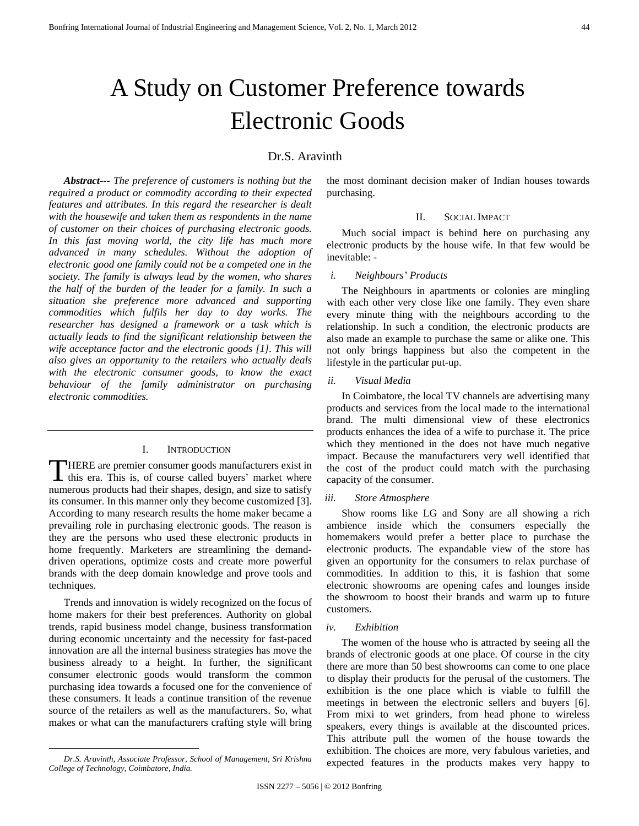# A Study on Customer Preference towards Electronic Goods

# Dr.S. Aravinth

*Abstract--- The preference of customers is nothing but the required a product or commodity according to their expected features and attributes. In this regard the researcher is dealt with the housewife and taken them as respondents in the name of customer on their choices of purchasing electronic goods. In this fast moving world, the city life has much more advanced in many schedules. Without the adoption of electronic good one family could not be a competed one in the society. The family is always lead by the women, who shares the half of the burden of the leader for a family. In such a situation she preference more advanced and supporting commodities which fulfils her day to day works. The researcher has designed a framework or a task which is actually leads to find the significant relationship between the wife acceptance factor and the electronic goods [1]. This will also gives an opportunity to the retailers who actually deals with the electronic consumer goods, to know the exact behaviour of the family administrator on purchasing electronic commodities.* 

#### I. INTRODUCTION

HERE are premier consumer goods manufacturers exist in THERE are premier consumer goods manufacturers exist in this era. This is, of course called buyers' market where numerous products had their shapes, design, and size to satisfy its consumer. In this manner only they become customized [3]. According to many research results the home maker became a prevailing role in purchasing electronic goods. The reason is they are the persons who used these electronic products in home frequently. Marketers are streamlining the demanddriven operations, optimize costs and create more powerful brands with the deep domain knowledge and prove tools and techniques.

Trends and innovation is widely recognized on the focus of home makers for their best preferences. Authority on global trends, rapid business model change, business transformation during economic uncertainty and the necessity for fast-paced innovation are all the internal business strategies has move the business already to a height. In further, the significant consumer electronic goods would transform the common purchasing idea towards a focused one for the convenience of these consumers. It leads a continue transition of the revenue source of the retailers as well as the manufacturers. So, what makes or what can the manufacturers crafting style will bring

the most dominant decision maker of Indian houses towards purchasing.

#### II. SOCIAL IMPACT

Much social impact is behind here on purchasing any electronic products by the house wife. In that few would be inevitable: -

#### *i. Neighbours' Products*

The Neighbours in apartments or colonies are mingling with each other very close like one family. They even share every minute thing with the neighbours according to the relationship. In such a condition, the electronic products are also made an example to purchase the same or alike one. This not only brings happiness but also the competent in the lifestyle in the particular put-up.

#### *ii. Visual Media*

In Coimbatore, the local TV channels are advertising many products and services from the local made to the international brand. The multi dimensional view of these electronics products enhances the idea of a wife to purchase it. The price which they mentioned in the does not have much negative impact. Because the manufacturers very well identified that the cost of the product could match with the purchasing capacity of the consumer.

#### *iii. Store Atmosphere*

Show rooms like LG and Sony are all showing a rich ambience inside which the consumers especially the homemakers would prefer a better place to purchase the electronic products. The expandable view of the store has given an opportunity for the consumers to relax purchase of commodities. In addition to this, it is fashion that some electronic showrooms are opening cafes and lounges inside the showroom to boost their brands and warm up to future customers.

#### *iv. Exhibition*

The women of the house who is attracted by seeing all the brands of electronic goods at one place. Of course in the city there are more than 50 best showrooms can come to one place to display their products for the perusal of the customers. The exhibition is the one place which is viable to fulfill the meetings in between the electronic sellers and buyers [6]. From mixi to wet grinders, from head phone to wireless speakers, every things is available at the discounted prices. This attribute pull the women of the house towards the exhibition. The choices are more, very fabulous varieties, and expected features in the products makes very happy to

*Dr.S. Aravinth, Associate Professor, School of Management, Sri Krishna College of Technology, Coimbatore, India.*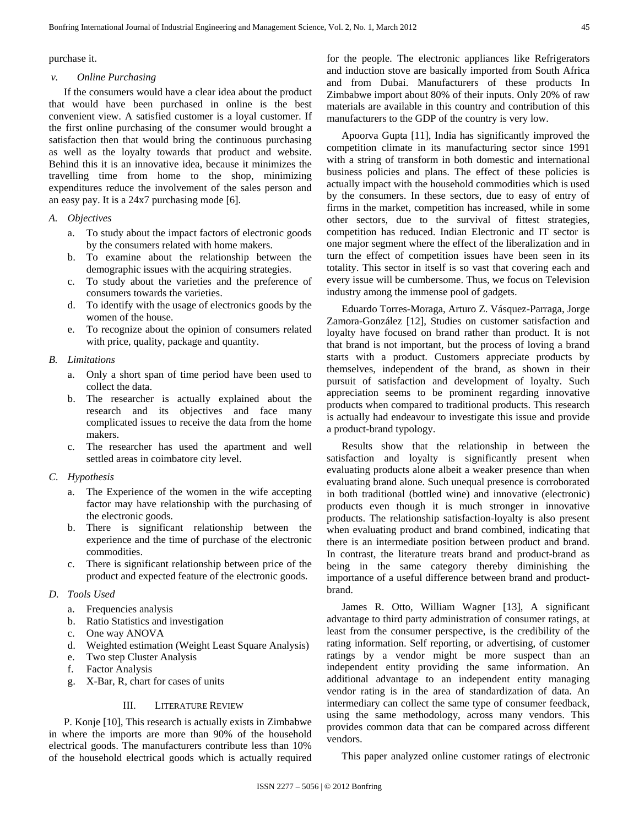purchase it.

#### *v. Online Purchasing*

If the consumers would have a clear idea about the product that would have been purchased in online is the best convenient view. A satisfied customer is a loyal customer. If the first online purchasing of the consumer would brought a satisfaction then that would bring the continuous purchasing as well as the loyalty towards that product and website. Behind this it is an innovative idea, because it minimizes the travelling time from home to the shop, minimizing expenditures reduce the involvement of the sales person and an easy pay. It is a 24x7 purchasing mode [6].

# *A. Objectives*

- a. To study about the impact factors of electronic goods by the consumers related with home makers.
- b. To examine about the relationship between the demographic issues with the acquiring strategies.
- c. To study about the varieties and the preference of consumers towards the varieties.
- d. To identify with the usage of electronics goods by the women of the house.
- e. To recognize about the opinion of consumers related with price, quality, package and quantity.

#### *B. Limitations*

- a. Only a short span of time period have been used to collect the data.
- b. The researcher is actually explained about the research and its objectives and face many complicated issues to receive the data from the home makers.
- c. The researcher has used the apartment and well settled areas in coimbatore city level.

#### *C. Hypothesis*

- a. The Experience of the women in the wife accepting factor may have relationship with the purchasing of the electronic goods.
- b. There is significant relationship between the experience and the time of purchase of the electronic commodities.
- c. There is significant relationship between price of the product and expected feature of the electronic goods.

#### *D. Tools Used*

- a. Frequencies analysis
- b. Ratio Statistics and investigation
- c. One way ANOVA
- d. Weighted estimation (Weight Least Square Analysis)
- e. Two step Cluster Analysis
- f. Factor Analysis
- g. X-Bar, R, chart for cases of units

# III. LITERATURE REVIEW

P. Konje [10], This research is actually exists in Zimbabwe in where the imports are more than 90% of the household electrical goods. The manufacturers contribute less than 10% of the household electrical goods which is actually required for the people. The electronic appliances like Refrigerators and induction stove are basically imported from South Africa and from Dubai. Manufacturers of these products In Zimbabwe import about 80% of their inputs. Only 20% of raw materials are available in this country and contribution of this manufacturers to the GDP of the country is very low.

Apoorva Gupta [11], India has significantly improved the competition climate in its manufacturing sector since 1991 with a string of transform in both domestic and international business policies and plans. The effect of these policies is actually impact with the household commodities which is used by the consumers. In these sectors, due to easy of entry of firms in the market, competition has increased, while in some other sectors, due to the survival of fittest strategies, competition has reduced. Indian Electronic and IT sector is one major segment where the effect of the liberalization and in turn the effect of competition issues have been seen in its totality. This sector in itself is so vast that covering each and every issue will be cumbersome. Thus, we focus on Television industry among the immense pool of gadgets.

Eduardo Torres-Moraga, Arturo Z. Vásquez-Parraga, Jorge Zamora-González [12], Studies on customer satisfaction and loyalty have focused on brand rather than product. It is not that brand is not important, but the process of loving a brand starts with a product. Customers appreciate products by themselves, independent of the brand, as shown in their pursuit of satisfaction and development of loyalty. Such appreciation seems to be prominent regarding innovative products when compared to traditional products. This research is actually had endeavour to investigate this issue and provide a product-brand typology.

Results show that the relationship in between the satisfaction and loyalty is significantly present when evaluating products alone albeit a weaker presence than when evaluating brand alone. Such unequal presence is corroborated in both traditional (bottled wine) and innovative (electronic) products even though it is much stronger in innovative products. The relationship satisfaction-loyalty is also present when evaluating product and brand combined, indicating that there is an intermediate position between product and brand. In contrast, the literature treats brand and product-brand as being in the same category thereby diminishing the importance of a useful difference between brand and productbrand.

James R. Otto, William Wagner [13], A significant advantage to third party administration of consumer ratings, at least from the consumer perspective, is the credibility of the rating information. Self reporting, or advertising, of customer ratings by a vendor might be more suspect than an independent entity providing the same information. An additional advantage to an independent entity managing vendor rating is in the area of standardization of data. An intermediary can collect the same type of consumer feedback, using the same methodology, across many vendors. This provides common data that can be compared across different vendors.

This paper analyzed online customer ratings of electronic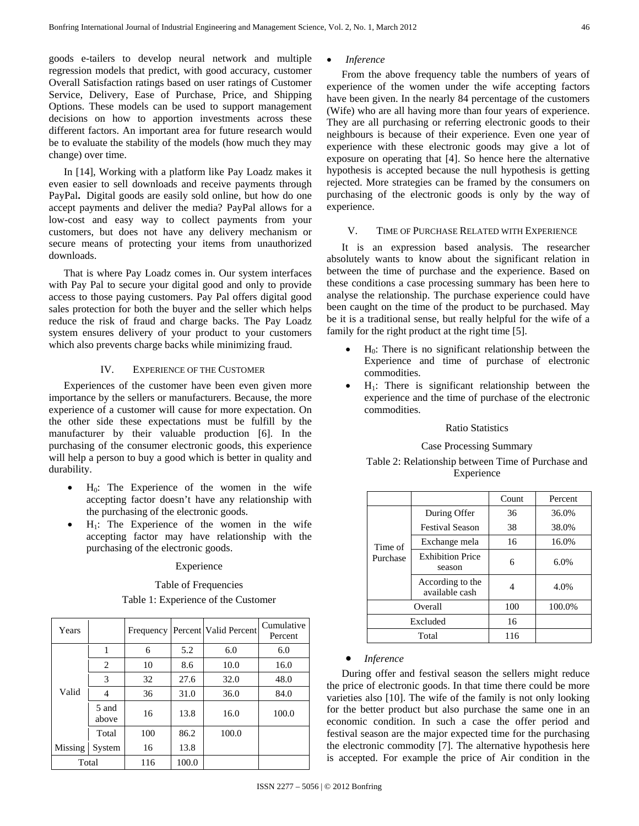goods e-tailers to develop neural network and multiple regression models that predict, with good accuracy, customer Overall Satisfaction ratings based on user ratings of Customer Service, Delivery, Ease of Purchase, Price, and Shipping Options. These models can be used to support management decisions on how to apportion investments across these different factors. An important area for future research would be to evaluate the stability of the models (how much they may change) over time.

In [14], Working with a platform like Pay Loadz makes it even easier to sell downloads and receive payments through PayPal**.** Digital goods are easily sold online, but how do one accept payments and deliver the media? PayPal allows for a low-cost and easy way to collect payments from your customers, but does not have any delivery mechanism or secure means of protecting your items from unauthorized downloads.

That is where Pay Loadz comes in. Our system interfaces with Pay Pal to secure your digital good and only to provide access to those paying customers. Pay Pal offers digital good sales protection for both the buyer and the seller which helps reduce the risk of fraud and charge backs. The Pay Loadz system ensures delivery of your product to your customers which also prevents charge backs while minimizing fraud.

#### IV. EXPERIENCE OF THE CUSTOMER

Experiences of the customer have been even given more importance by the sellers or manufacturers. Because, the more experience of a customer will cause for more expectation. On the other side these expectations must be fulfill by the manufacturer by their valuable production [6]. In the purchasing of the consumer electronic goods, this experience will help a person to buy a good which is better in quality and durability.

- $H<sub>0</sub>$ : The Experience of the women in the wife accepting factor doesn't have any relationship with the purchasing of the electronic goods.
- $H_1$ : The Experience of the women in the wife accepting factor may have relationship with the purchasing of the electronic goods.

## Experience

#### Table of Frequencies

#### Table 1: Experience of the Customer

| Years   |                | Frequency |       | Percent Valid Percent | Cumulative<br>Percent |
|---------|----------------|-----------|-------|-----------------------|-----------------------|
|         | 1              | 6         | 5.2   | 6.0                   | 6.0                   |
|         | 2              | 10        | 8.6   | 10.0                  | 16.0                  |
|         | 3              | 32        | 27.6  | 32.0                  | 48.0                  |
| Valid   | 4              | 36        | 31.0  | 36.0                  | 84.0                  |
|         | 5 and<br>above | 16        | 13.8  | 16.0                  | 100.0                 |
|         | Total          | 100       | 86.2  | 100.0                 |                       |
| Missing | System         | 16        | 13.8  |                       |                       |
|         | Total          | 116       | 100.0 |                       |                       |

#### • *Inference*

From the above frequency table the numbers of years of experience of the women under the wife accepting factors have been given. In the nearly 84 percentage of the customers (Wife) who are all having more than four years of experience. They are all purchasing or referring electronic goods to their neighbours is because of their experience. Even one year of experience with these electronic goods may give a lot of exposure on operating that [4]. So hence here the alternative hypothesis is accepted because the null hypothesis is getting rejected. More strategies can be framed by the consumers on purchasing of the electronic goods is only by the way of experience.

#### V. TIME OF PURCHASE RELATED WITH EXPERIENCE

It is an expression based analysis. The researcher absolutely wants to know about the significant relation in between the time of purchase and the experience. Based on these conditions a case processing summary has been here to analyse the relationship. The purchase experience could have been caught on the time of the product to be purchased. May be it is a traditional sense, but really helpful for the wife of a family for the right product at the right time [5].

- $H<sub>0</sub>$ : There is no significant relationship between the Experience and time of purchase of electronic commodities.
- $H_1$ : There is significant relationship between the experience and the time of purchase of the electronic commodities.

#### Ratio Statistics

#### Case Processing Summary

# Table 2: Relationship between Time of Purchase and Experience

|          |                                    | Count | Percent |
|----------|------------------------------------|-------|---------|
|          | During Offer                       | 36    | 36.0%   |
|          | <b>Festival Season</b>             | 38    | 38.0%   |
| Time of  | Exchange mela                      | 16    | 16.0%   |
| Purchase | <b>Exhibition Price</b><br>season  | 6     | 6.0%    |
|          | According to the<br>available cash | 4     | 4.0%    |
|          | Overall                            | 100   | 100.0%  |
| Excluded |                                    | 16    |         |
|          | Total                              | 116   |         |

# • *Inference*

During offer and festival season the sellers might reduce the price of electronic goods. In that time there could be more varieties also [10]. The wife of the family is not only looking for the better product but also purchase the same one in an economic condition. In such a case the offer period and festival season are the major expected time for the purchasing the electronic commodity [7]. The alternative hypothesis here is accepted. For example the price of Air condition in the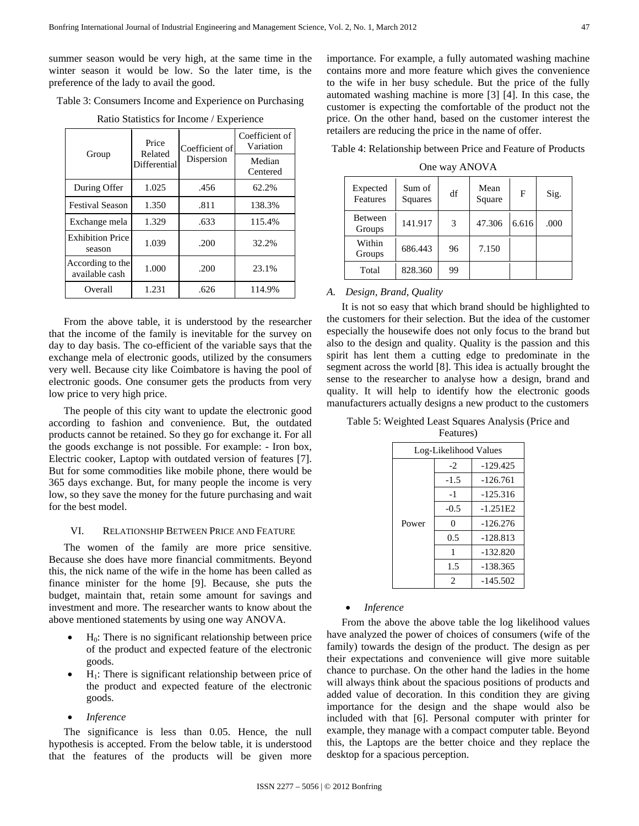summer season would be very high, at the same time in the winter season it would be low. So the later time, is the preference of the lady to avail the good.

Table 3: Consumers Income and Experience on Purchasing

Ratio Statistics for Income / Experience

| Group                              | Price<br>Related | Coefficient of | Coefficient of<br>Variation |  |
|------------------------------------|------------------|----------------|-----------------------------|--|
|                                    | Differential     | Dispersion     | Median<br>Centered          |  |
| During Offer                       | 1.025            | .456           | 62.2%                       |  |
| <b>Festival Season</b>             | 1.350            | .811           | 138.3%                      |  |
| Exchange mela                      | 1.329            | .633           | 115.4%                      |  |
| <b>Exhibition Price</b><br>season  | 1.039            | .200           | 32.2%                       |  |
| According to the<br>available cash | 1.000            | .200           | 23.1%                       |  |
| Overall                            | 1.231            | .626           | 114.9%                      |  |

From the above table, it is understood by the researcher that the income of the family is inevitable for the survey on day to day basis. The co-efficient of the variable says that the exchange mela of electronic goods, utilized by the consumers very well. Because city like Coimbatore is having the pool of electronic goods. One consumer gets the products from very low price to very high price.

The people of this city want to update the electronic good according to fashion and convenience. But, the outdated products cannot be retained. So they go for exchange it. For all the goods exchange is not possible. For example: - Iron box, Electric cooker, Laptop with outdated version of features [7]. But for some commodities like mobile phone, there would be 365 days exchange. But, for many people the income is very low, so they save the money for the future purchasing and wait for the best model.

#### VI. RELATIONSHIP BETWEEN PRICE AND FEATURE

The women of the family are more price sensitive. Because she does have more financial commitments. Beyond this, the nick name of the wife in the home has been called as finance minister for the home [9]. Because, she puts the budget, maintain that, retain some amount for savings and investment and more. The researcher wants to know about the above mentioned statements by using one way ANOVA.

- $H<sub>0</sub>$ : There is no significant relationship between price of the product and expected feature of the electronic goods.
- $H_1$ : There is significant relationship between price of the product and expected feature of the electronic goods.
- *Inference*

The significance is less than 0.05. Hence, the null hypothesis is accepted. From the below table, it is understood that the features of the products will be given more importance. For example, a fully automated washing machine contains more and more feature which gives the convenience to the wife in her busy schedule. But the price of the fully automated washing machine is more [3] [4]. In this case, the customer is expecting the comfortable of the product not the price. On the other hand, based on the customer interest the retailers are reducing the price in the name of offer.

Table 4: Relationship between Price and Feature of Products

One way ANOVA

| Expected<br>Features     | Sum of<br>Squares | df | Mean<br>Square | F     | Sig. |
|--------------------------|-------------------|----|----------------|-------|------|
| <b>Between</b><br>Groups | 141.917           | 3  | 47.306         | 6.616 | .000 |
| Within<br>Groups         | 686.443           | 96 | 7.150          |       |      |
| Total                    | 828.360           | 99 |                |       |      |

# *A. Design, Brand, Quality*

It is not so easy that which brand should be highlighted to the customers for their selection. But the idea of the customer especially the housewife does not only focus to the brand but also to the design and quality. Quality is the passion and this spirit has lent them a cutting edge to predominate in the segment across the world [8]. This idea is actually brought the sense to the researcher to analyse how a design, brand and quality. It will help to identify how the electronic goods manufacturers actually designs a new product to the customers

Table 5: Weighted Least Squares Analysis (Price and Features)

| Log-Likelihood Values |        |            |  |  |
|-----------------------|--------|------------|--|--|
|                       | $-2$   | $-129.425$ |  |  |
|                       | $-1.5$ | $-126.761$ |  |  |
|                       | $-1$   | $-125.316$ |  |  |
|                       | $-0.5$ | $-1.251E2$ |  |  |
| Power                 | 0      | $-126.276$ |  |  |
|                       | 0.5    | $-128.813$ |  |  |
|                       | 1      | $-132.820$ |  |  |
|                       | 1.5    | $-138.365$ |  |  |
|                       | 2      | $-145.502$ |  |  |

# • *Inference*

From the above the above table the log likelihood values have analyzed the power of choices of consumers (wife of the family) towards the design of the product. The design as per their expectations and convenience will give more suitable chance to purchase. On the other hand the ladies in the home will always think about the spacious positions of products and added value of decoration. In this condition they are giving importance for the design and the shape would also be included with that [6]. Personal computer with printer for example, they manage with a compact computer table. Beyond this, the Laptops are the better choice and they replace the desktop for a spacious perception.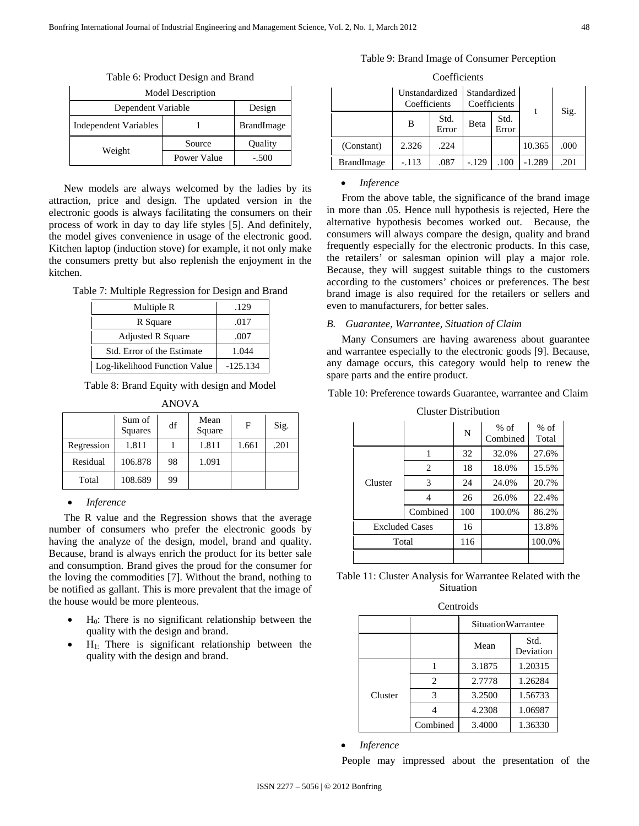| racio of riodaet Besign and Brand |             |                   |  |  |  |
|-----------------------------------|-------------|-------------------|--|--|--|
| <b>Model Description</b>          |             |                   |  |  |  |
| Design<br>Dependent Variable      |             |                   |  |  |  |
| Independent Variables             |             | <b>BrandImage</b> |  |  |  |
|                                   | Source      | Quality           |  |  |  |
| Weight                            | Power Value | $-.500$           |  |  |  |

Table 6: Product Design and Brand

New models are always welcomed by the ladies by its attraction, price and design. The updated version in the electronic goods is always facilitating the consumers on their process of work in day to day life styles [5]. And definitely, the model gives convenience in usage of the electronic good. Kitchen laptop (induction stove) for example, it not only make the consumers pretty but also replenish the enjoyment in the kitchen.

Table 7: Multiple Regression for Design and Brand

| Multiple R                    | .129       |
|-------------------------------|------------|
| R Square                      | .017       |
| <b>Adjusted R Square</b>      | .007       |
| Std. Error of the Estimate    | 1.044      |
| Log-likelihood Function Value | $-125.134$ |

Table 8: Brand Equity with design and Model ANOVA

| ANUVA      |                   |    |                |       |      |  |  |
|------------|-------------------|----|----------------|-------|------|--|--|
|            | Sum of<br>Squares | df | Mean<br>Square | F     | Sig. |  |  |
| Regression | 1.811             |    | 1.811          | 1.661 | .201 |  |  |
| Residual   | 106.878           | 98 | 1.091          |       |      |  |  |
| Total      | 108.689           | 99 |                |       |      |  |  |

# • *Inference*

The R value and the Regression shows that the average number of consumers who prefer the electronic goods by having the analyze of the design, model, brand and quality. Because, brand is always enrich the product for its better sale and consumption. Brand gives the proud for the consumer for the loving the commodities [7]. Without the brand, nothing to be notified as gallant. This is more prevalent that the image of the house would be more plenteous.

- $H<sub>0</sub>$ : There is no significant relationship between the quality with the design and brand.
- $H_1$ . There is significant relationship between the quality with the design and brand.

| Coefficients      |                                                                |               |         |               |          |      |  |
|-------------------|----------------------------------------------------------------|---------------|---------|---------------|----------|------|--|
|                   | Unstandardized<br>Standardized<br>Coefficients<br>Coefficients |               |         |               |          |      |  |
|                   | B                                                              | Std.<br>Error | Beta    | Std.<br>Error | t        | Sig. |  |
| (Constant)        | 2.326                                                          | .224          |         |               | 10.365   | .000 |  |
| <b>BrandImage</b> | $-.113$                                                        | .087          | $-.129$ | .100          | $-1.289$ | .201 |  |

Table 9: Brand Image of Consumer Perception

# • *Inference*

From the above table, the significance of the brand image in more than .05. Hence null hypothesis is rejected, Here the alternative hypothesis becomes worked out. Because, the consumers will always compare the design, quality and brand frequently especially for the electronic products. In this case, the retailers' or salesman opinion will play a major role. Because, they will suggest suitable things to the customers according to the customers' choices or preferences. The best brand image is also required for the retailers or sellers and even to manufacturers, for better sales.

#### *B. Guarantee, Warrantee, Situation of Claim*

Many Consumers are having awareness about guarantee and warrantee especially to the electronic goods [9]. Because, any damage occurs, this category would help to renew the spare parts and the entire product.

Table 10: Preference towards Guarantee, warrantee and Claim

|                       |          | N   | $%$ of<br>Combined | $%$ of<br>Total |
|-----------------------|----------|-----|--------------------|-----------------|
|                       |          | 32  | 32.0%              | 27.6%           |
| Cluster               | 2        | 18  | 18.0%              | 15.5%           |
|                       | 3        | 24  | 24.0%              | 20.7%           |
|                       |          | 26  | 26.0%              | 22.4%           |
|                       | Combined | 100 | 100.0%             | 86.2%           |
| <b>Excluded Cases</b> |          | 16  |                    | 13.8%           |
| Total                 |          | 116 |                    | 100.0%          |
|                       |          |     |                    |                 |

#### Cluster Distribution

| Table 11: Cluster Analysis for Warrantee Related with the |
|-----------------------------------------------------------|
| <b>Situation</b>                                          |

| Centroids |                           |                           |         |  |  |  |
|-----------|---------------------------|---------------------------|---------|--|--|--|
|           | <b>SituationWarrantee</b> |                           |         |  |  |  |
|           |                           | Std.<br>Mean<br>Deviation |         |  |  |  |
| Cluster   |                           | 3.1875                    | 1.20315 |  |  |  |
|           | $\mathfrak{D}$            | 2.7778                    | 1.26284 |  |  |  |
|           | 3                         | 3.2500                    | 1.56733 |  |  |  |
|           |                           | 4.2308                    | 1.06987 |  |  |  |
|           | Combined                  | 3.4000                    | 1.36330 |  |  |  |

## • *Inference*

People may impressed about the presentation of the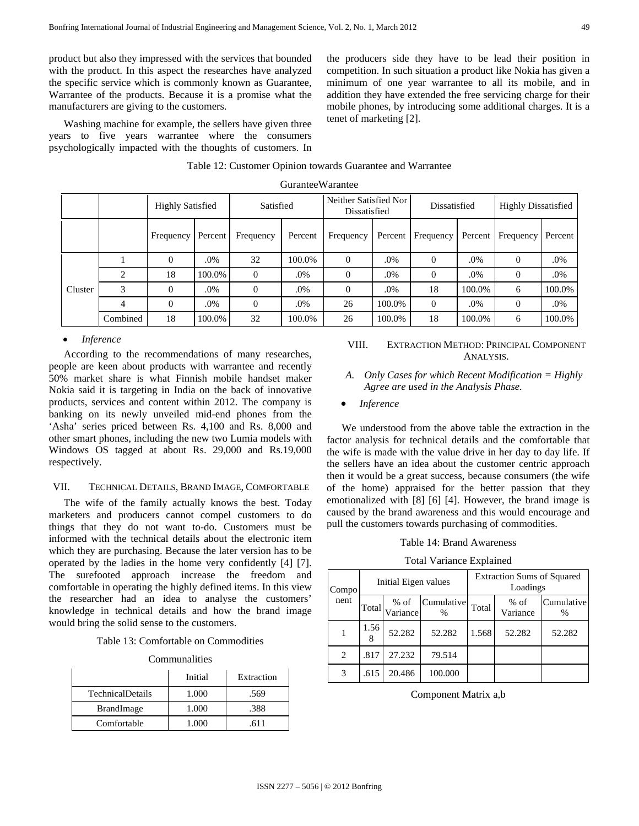product but also they impressed with the services that bounded with the product. In this aspect the researches have analyzed the specific service which is commonly known as Guarantee, Warrantee of the products. Because it is a promise what the manufacturers are giving to the customers.

Washing machine for example, the sellers have given three years to five years warrantee where the consumers psychologically impacted with the thoughts of customers. In the producers side they have to be lead their position in competition. In such situation a product like Nokia has given a minimum of one year warrantee to all its mobile, and in addition they have extended the free servicing charge for their mobile phones, by introducing some additional charges. It is a tenet of marketing [2].

|         |                | <b>Highly Satisfied</b> |         | Satisfied |         | Neither Satisfied Nor<br>Dissatisfied |         | Dissatisfied |         | <b>Highly Dissatisfied</b> |         |
|---------|----------------|-------------------------|---------|-----------|---------|---------------------------------------|---------|--------------|---------|----------------------------|---------|
|         |                | Frequency               | Percent | Frequency | Percent | Frequency                             | Percent | Frequency    | Percent | Frequency                  | Percent |
|         |                | $\Omega$                | .0%     | 32        | 100.0%  | $\Omega$                              | .0%     | $\Omega$     | .0%     | $\theta$                   | .0%     |
|         | 2              | 18                      | 100.0%  | $\Omega$  | .0%     | $\Omega$                              | .0%     | $\Omega$     | .0%     | $\theta$                   | .0%     |
| Cluster | 3              | $\Omega$                | .0%     | $\Omega$  | .0%     | $\Omega$                              | .0%     | 18           | 100.0%  | 6                          | 100.0%  |
|         | $\overline{4}$ | $\Omega$                | .0%     | $\Omega$  | .0%     | 26                                    | 100.0%  | $\Omega$     | .0%     | $\theta$                   | $.0\%$  |
|         | Combined       | 18                      | 100.0%  | 32        | 100.0%  | 26                                    | 100.0%  | 18           | 100.0%  | 6                          | 100.0%  |

# Table 12: Customer Opinion towards Guarantee and Warrantee GuranteeWarantee

#### • *Inference*

According to the recommendations of many researches, people are keen about products with warrantee and recently 50% market share is what Finnish mobile handset maker Nokia said it is targeting in India on the back of innovative products, services and content within 2012. The company is banking on its newly unveiled mid-end phones from the 'Asha' series priced between Rs. 4,100 and Rs. 8,000 and other smart phones, including the new two Lumia models with Windows OS tagged at about Rs. 29,000 and Rs.19,000 respectively.

#### VII. TECHNICAL DETAILS, BRAND IMAGE, COMFORTABLE

The wife of the family actually knows the best. Today marketers and producers cannot compel customers to do things that they do not want to-do. Customers must be informed with the technical details about the electronic item which they are purchasing. Because the later version has to be operated by the ladies in the home very confidently [4] [7]. The surefooted approach increase the freedom and comfortable in operating the highly defined items. In this view the researcher had an idea to analyse the customers' knowledge in technical details and how the brand image would bring the solid sense to the customers.

|  |  | Table 13: Comfortable on Commodities |  |
|--|--|--------------------------------------|--|
|--|--|--------------------------------------|--|

| Communalities |  |
|---------------|--|
|               |  |

|                         | Initial | Extraction |  |
|-------------------------|---------|------------|--|
| <b>TechnicalDetails</b> | 1.000   | .569       |  |
| <b>BrandImage</b>       | 1.000   | .388       |  |
| Comfortable             | 1.000   | 611        |  |

# VIII. EXTRACTION METHOD: PRINCIPAL COMPONENT ANALYSIS.

- *A. Only Cases for which Recent Modification = Highly Agree are used in the Analysis Phase.*
- *Inference*

We understood from the above table the extraction in the factor analysis for technical details and the comfortable that the wife is made with the value drive in her day to day life. If the sellers have an idea about the customer centric approach then it would be a great success, because consumers (the wife of the home) appraised for the better passion that they emotionalized with [8] [6] [4]. However, the brand image is caused by the brand awareness and this would encourage and pull the customers towards purchasing of commodities.

#### Table 14: Brand Awareness

#### Total Variance Explained

| Compo |           | Initial Eigen values |                    | <b>Extraction Sums of Squared</b><br>Loadings |                    |                    |  |
|-------|-----------|----------------------|--------------------|-----------------------------------------------|--------------------|--------------------|--|
| nent  | Total     | $%$ of<br>Variance   | Cumulative<br>$\%$ | Total                                         | $%$ of<br>Variance | Cumulative<br>$\%$ |  |
|       | 1.56<br>8 | 52.282               | 52.282             | 1.568                                         | 52.282             | 52.282             |  |
| 2     | .817      | 27.232               | 79.514             |                                               |                    |                    |  |
| 3     | .615      | 20.486               | 100.000            |                                               |                    |                    |  |

Component Matrix a,b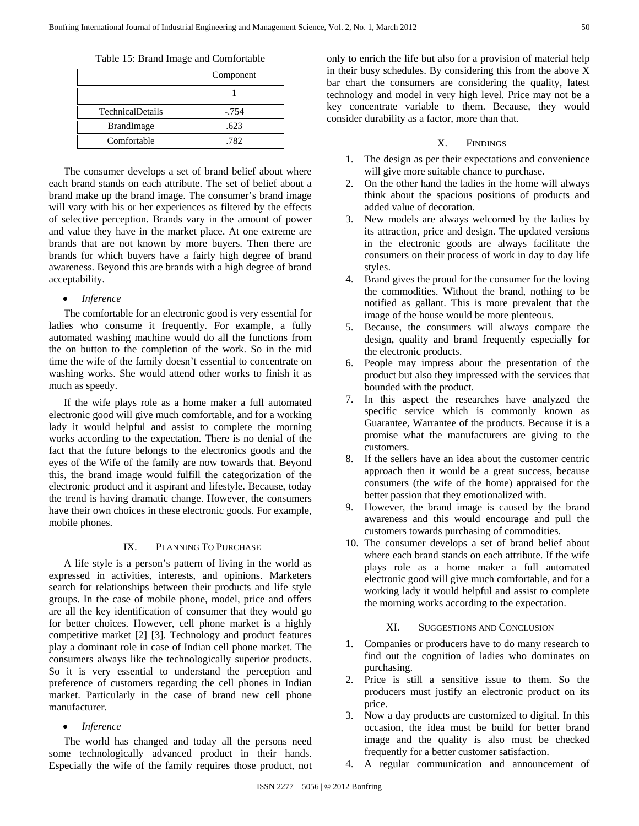Table 15: Brand Image and Comfortable

|                         | Component |
|-------------------------|-----------|
|                         |           |
| <b>TechnicalDetails</b> | $-.754$   |
| <b>BrandImage</b>       | .623      |
| Comfortable             | .782      |

The consumer develops a set of brand belief about where each brand stands on each attribute. The set of belief about a brand make up the brand image. The consumer's brand image will vary with his or her experiences as filtered by the effects of selective perception. Brands vary in the amount of power and value they have in the market place. At one extreme are brands that are not known by more buyers. Then there are brands for which buyers have a fairly high degree of brand awareness. Beyond this are brands with a high degree of brand acceptability.

# • *Inference*

The comfortable for an electronic good is very essential for ladies who consume it frequently. For example, a fully automated washing machine would do all the functions from the on button to the completion of the work. So in the mid time the wife of the family doesn't essential to concentrate on washing works. She would attend other works to finish it as much as speedy.

If the wife plays role as a home maker a full automated electronic good will give much comfortable, and for a working lady it would helpful and assist to complete the morning works according to the expectation. There is no denial of the fact that the future belongs to the electronics goods and the eyes of the Wife of the family are now towards that. Beyond this, the brand image would fulfill the categorization of the electronic product and it aspirant and lifestyle. Because, today the trend is having dramatic change. However, the consumers have their own choices in these electronic goods. For example, mobile phones.

# IX. PLANNING TO PURCHASE

A life style is a person's pattern of living in the world as expressed in activities, interests, and opinions. Marketers search for relationships between their products and life style groups. In the case of mobile phone, model, price and offers are all the key identification of consumer that they would go for better choices. However, cell phone market is a highly competitive market [2] [3]. Technology and product features play a dominant role in case of Indian cell phone market. The consumers always like the technologically superior products. So it is very essential to understand the perception and preference of customers regarding the cell phones in Indian market. Particularly in the case of brand new cell phone manufacturer.

# • *Inference*

The world has changed and today all the persons need some technologically advanced product in their hands. Especially the wife of the family requires those product, not only to enrich the life but also for a provision of material help in their busy schedules. By considering this from the above X bar chart the consumers are considering the quality, latest technology and model in very high level. Price may not be a key concentrate variable to them. Because, they would consider durability as a factor, more than that.

# X. FINDINGS

- 1. The design as per their expectations and convenience will give more suitable chance to purchase.
- 2. On the other hand the ladies in the home will always think about the spacious positions of products and added value of decoration.
- 3. New models are always welcomed by the ladies by its attraction, price and design. The updated versions in the electronic goods are always facilitate the consumers on their process of work in day to day life styles.
- 4. Brand gives the proud for the consumer for the loving the commodities. Without the brand, nothing to be notified as gallant. This is more prevalent that the image of the house would be more plenteous.
- 5. Because, the consumers will always compare the design, quality and brand frequently especially for the electronic products.
- 6. People may impress about the presentation of the product but also they impressed with the services that bounded with the product.
- 7. In this aspect the researches have analyzed the specific service which is commonly known as Guarantee, Warrantee of the products. Because it is a promise what the manufacturers are giving to the customers.
- 8. If the sellers have an idea about the customer centric approach then it would be a great success, because consumers (the wife of the home) appraised for the better passion that they emotionalized with.
- 9. However, the brand image is caused by the brand awareness and this would encourage and pull the customers towards purchasing of commodities.
- 10. The consumer develops a set of brand belief about where each brand stands on each attribute. If the wife plays role as a home maker a full automated electronic good will give much comfortable, and for a working lady it would helpful and assist to complete the morning works according to the expectation.

# XI. SUGGESTIONS AND CONCLUSION

- 1. Companies or producers have to do many research to find out the cognition of ladies who dominates on purchasing.
- 2. Price is still a sensitive issue to them. So the producers must justify an electronic product on its price.
- 3. Now a day products are customized to digital. In this occasion, the idea must be build for better brand image and the quality is also must be checked frequently for a better customer satisfaction.
- 4. A regular communication and announcement of